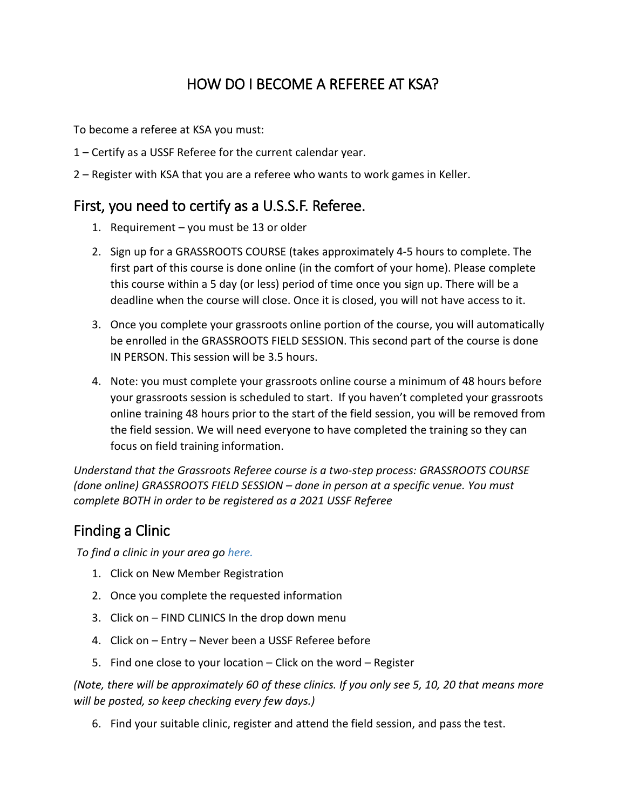## HOW DO I BECOME A REFEREE AT KSA?

To become a referee at KSA you must:

- 1 Certify as a USSF Referee for the current calendar year.
- 2 Register with KSA that you are a referee who wants to work games in Keller.

## First, you need to certify as a U.S.S.F. Referee.

- 1. Requirement you must be 13 or older
- 2. Sign up for a GRASSROOTS COURSE (takes approximately 4-5 hours to complete. The first part of this course is done online (in the comfort of your home). Please complete this course within a 5 day (or less) period of time once you sign up. There will be a deadline when the course will close. Once it is closed, you will not have access to it.
- 3. Once you complete your grassroots online portion of the course, you will automatically be enrolled in the GRASSROOTS FIELD SESSION. This second part of the course is done IN PERSON. This session will be 3.5 hours.
- 4. Note: you must complete your grassroots online course a minimum of 48 hours before your grassroots session is scheduled to start. If you haven't completed your grassroots online training 48 hours prior to the start of the field session, you will be removed from the field session. We will need everyone to have completed the training so they can focus on field training information.

*Understand that the Grassroots Referee course is a two-step process: GRASSROOTS COURSE (done online) GRASSROOTS FIELD SESSION – done in person at a specific venue. You must complete BOTH in order to be registered as a 2021 USSF Referee*

## Finding a Clinic

*To find a clinic in your area go [here.](https://ntxreferees.omgtsys.com/)*

- 1. Click on New Member Registration
- 2. Once you complete the requested information
- 3. Click on FIND CLINICS In the drop down menu
- 4. Click on Entry Never been a USSF Referee before
- 5. Find one close to your location Click on the word Register

*(Note, there will be approximately 60 of these clinics. If you only see 5, 10, 20 that means more will be posted, so keep checking every few days.)*

6. Find your suitable clinic, register and attend the field session, and pass the test.